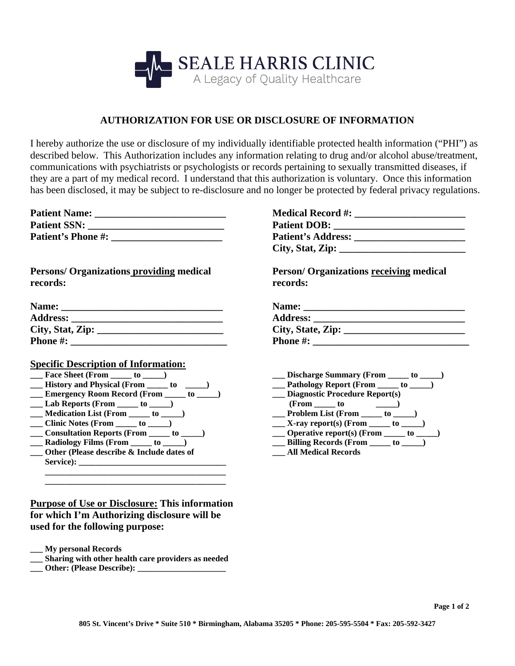

## **AUTHORIZATION FOR USE OR DISCLOSURE OF INFORMATION**

I hereby authorize the use or disclosure of my individually identifiable protected health information ("PHI") as described below. This Authorization includes any information relating to drug and/or alcohol abuse/treatment, communications with psychiatrists or psychologists or records pertaining to sexually transmitted diseases, if they are a part of my medical record. I understand that this authorization is voluntary. Once this information has been disclosed, it may be subject to re-disclosure and no longer be protected by federal privacy regulations.

| <b>Patient Name:</b>      |  |
|---------------------------|--|
| <b>Patient SSN:</b>       |  |
| <b>Patient's Phone #:</b> |  |

## **Persons/ Organizations providing medical records:**

| Name:            |  |
|------------------|--|
| <b>Address:</b>  |  |
| City, Stat, Zip: |  |
| <b>Phone #:</b>  |  |

## **Specific Description of Information:**

| Face Sheet (From <u>to see</u> to see        |
|----------------------------------------------|
| History and Physical (From ______ to         |
| <b>Emergency Room Record (From to</b>        |
| Lab Reports (From ______ to _____)           |
| Medication List (From 100 to 2001)           |
| Clinic Notes (From <u>to second</u> )        |
| Consultation Reports (From ______ to _____   |
| Radiology Films (From ______ to _____)       |
| Other (Please describe $\&$ Include dates of |
| <b>Service</b> ):                            |
|                                              |

## **Purpose of Use or Disclosure: This information for which I'm Authorizing disclosure will be used for the following purpose:**

|  | <b>My personal Records</b> |  |
|--|----------------------------|--|
|--|----------------------------|--|

- **\_\_\_ Sharing with other health care providers as needed**
- **Other: (Please Describe):**

| <b>Medical Record #:</b>  |  |
|---------------------------|--|
| <b>Patient DOB:</b>       |  |
| <b>Patient's Address:</b> |  |
| City, Stat, Zip: $\_$     |  |

**Person/ Organizations receiving medical records:** 

| Name:             |  |
|-------------------|--|
| <b>Address:</b>   |  |
| City, State, Zip: |  |
| <b>Phone #:</b>   |  |

| Discharge Summary (From<br>to          |
|----------------------------------------|
| <b>Pathology Report (From</b><br>to    |
| <b>Diagnostic Procedure Report(s)</b>  |
| (From to                               |
| <b>Problem List (From</b><br>to        |
| X-ray report(s) (From $\_$<br>to       |
| <b>Operative report(s) (From</b><br>to |
| <b>Billing Records (From</b><br>to     |

**\_\_\_ All Medical Records**